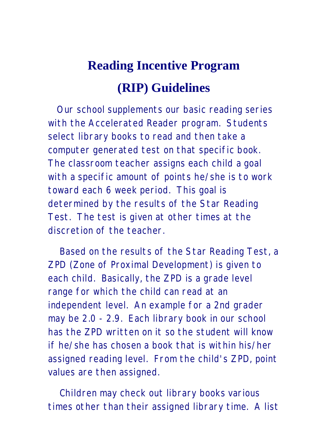## **Reading Incentive Program (RIP) Guidelines**

 Our school supplements our basic reading series with the Accelerated Reader program. Students select library books to read and then take a computer generated test on that specific book. The classroom teacher assigns each child a goal with a specific amount of points he/she is to work toward each 6 week period. This goal is determined by the results of the Star Reading Test. The test is given at other times at the discretion of the teacher.

 Based on the results of the Star Reading Test, a ZPD (Zone of Proximal Development) is given to each child. Basically, the ZPD is a grade level range for which the child can read at an independent level. An example for a 2nd grader may be 2.0 - 2.9. Each library book in our school has the ZPD written on it so the student will know if he/she has chosen a book that is within his/her assigned reading level. From the child's ZPD, point values are then assigned.

 Children may check out library books various times other than their assigned library time. A list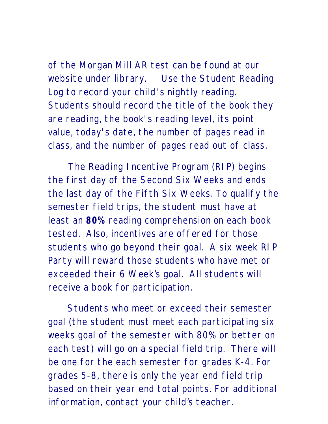of the Morgan Mill AR test can be found at our website under library. Use the Student Reading Log to record your child's nightly reading. Students should record the title of the book they are reading, the book's reading level, its point value, today's date, the number of pages read in

class, and the number of pages read out of class.

 The Reading Incentive Program (RIP) begins the first day of the Second Six Weeks and ends the last day of the Fifth Six Weeks. To qualify the semester field trips, the student must have at least an **80%** reading comprehension on each book tested. Also, incentives are offered for those students who go beyond their goal. A six week RIP Party will reward those students who have met or exceeded their 6 Week's goal. All students will receive a book for participation.

Students who meet or exceed their semester goal (the student must meet each participating six weeks goal of the semester with 80% or better on each test) will go on a special field trip. There will be one for the each semester for grades K-4. For grades 5-8, there is only the year end field trip based on their year end total points. For additional information, contact your child's teacher.